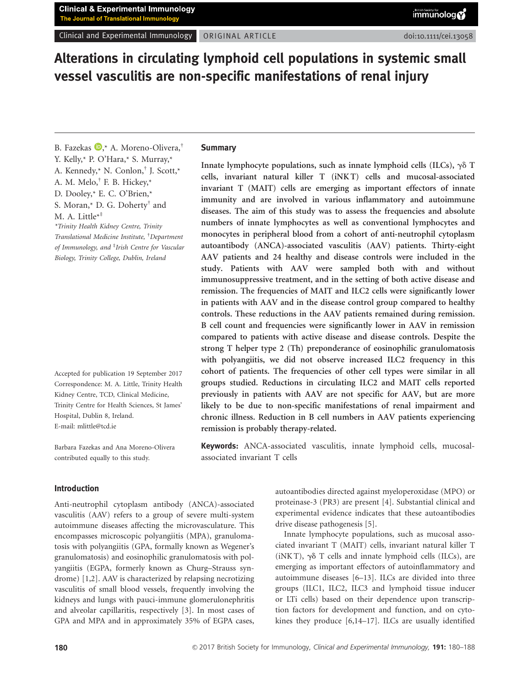# Alterations in circulating lymphoid cell populations in systemic small vessel vasculitis are non-specific manifestations of renal injury

B. Fazekas  $\mathbb{D}, *$  A. Moreno-Olivera,<sup>†</sup> Y. Kelly,\* P. O'Hara,\* S. Murray,\* A. Kennedy,\* N. Conlon,† J. Scott,\* A. M. Melo,† F. B. Hickey,\* D. Dooley,\* E. C. O'Brien,\* S. Moran,\* D. G. Doherty† and M. A. Little\* ‡ \*Trinity Health Kidney Centre, Trinity

Translational Medicine Institute, † Department of Immunology, and <sup>‡</sup>Irish Centre for Vascular Biology, Trinity College, Dublin, Ireland

Accepted for publication 19 September 2017 Correspondence: M. A. Little, Trinity Health Kidney Centre, TCD, Clinical Medicine, Trinity Centre for Health Sciences, St James' Hospital, Dublin 8, Ireland. E-mail: mlittle@tcd.ie

Barbara Fazekas and Ana Moreno-Olivera contributed equally to this study.

#### Introduction

Anti-neutrophil cytoplasm antibody (ANCA)-associated vasculitis (AAV) refers to a group of severe multi-system autoimmune diseases affecting the microvasculature. This encompasses microscopic polyangiitis (MPA), granulomatosis with polyangiitis (GPA, formally known as Wegener's granulomatosis) and eosinophilic granulomatosis with polyangiitis (EGPA, formerly known as Churg–Strauss syndrome) [1,2]. AAV is characterized by relapsing necrotizing vasculitis of small blood vessels, frequently involving the kidneys and lungs with pauci-immune glomerulonephritis and alveolar capillaritis, respectively [3]. In most cases of GPA and MPA and in approximately 35% of EGPA cases,

#### **Summary**

Innate lymphocyte populations, such as innate lymphoid cells (ILCs),  $\gamma \delta$  T cells, invariant natural killer T (iNK T) cells and mucosal-associated invariant T (MAIT) cells are emerging as important effectors of innate immunity and are involved in various inflammatory and autoimmune diseases. The aim of this study was to assess the frequencies and absolute numbers of innate lymphocytes as well as conventional lymphocytes and monocytes in peripheral blood from a cohort of anti-neutrophil cytoplasm autoantibody (ANCA)-associated vasculitis (AAV) patients. Thirty-eight AAV patients and 24 healthy and disease controls were included in the study. Patients with AAV were sampled both with and without immunosuppressive treatment, and in the setting of both active disease and remission. The frequencies of MAIT and ILC2 cells were significantly lower in patients with AAV and in the disease control group compared to healthy controls. These reductions in the AAV patients remained during remission. B cell count and frequencies were significantly lower in AAV in remission compared to patients with active disease and disease controls. Despite the strong T helper type 2 (Th) preponderance of eosinophilic granulomatosis with polyangiitis, we did not observe increased ILC2 frequency in this cohort of patients. The frequencies of other cell types were similar in all groups studied. Reductions in circulating ILC2 and MAIT cells reported previously in patients with AAV are not specific for AAV, but are more likely to be due to non-specific manifestations of renal impairment and chronic illness. Reduction in B cell numbers in AAV patients experiencing remission is probably therapy-related.

Keywords: ANCA-associated vasculitis, innate lymphoid cells, mucosalassociated invariant T cells

> autoantibodies directed against myeloperoxidase (MPO) or proteinase-3 (PR3) are present [4]. Substantial clinical and experimental evidence indicates that these autoantibodies drive disease pathogenesis [5].

> Innate lymphocyte populations, such as mucosal associated invariant T (MAIT) cells, invariant natural killer T (iNK T),  $\gamma\delta$  T cells and innate lymphoid cells (ILCs), are emerging as important effectors of autoinflammatory and autoimmune diseases [6–13]. ILCs are divided into three groups (ILC1, ILC2, ILC3 and lymphoid tissue inducer or LTi cells) based on their dependence upon transcription factors for development and function, and on cytokines they produce [6,14–17]. ILCs are usually identified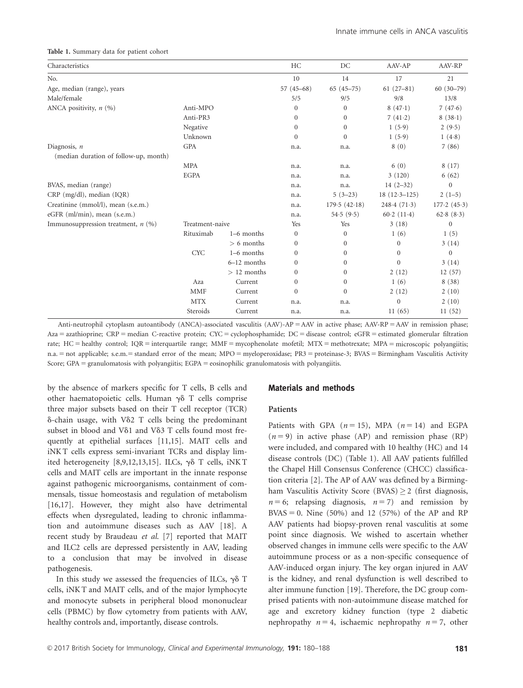| Characteristics                       |                 |               | HC               | DC           | AAV-AP         | AAV-RP       |
|---------------------------------------|-----------------|---------------|------------------|--------------|----------------|--------------|
| No.                                   |                 |               | 10               | 14           | 17             | 21           |
| Age, median (range), years            |                 |               | $57(45-68)$      | $65(45-75)$  | $61(27-81)$    | $60(30-79)$  |
| Male/female                           |                 |               | 5/5              | 9/5          | 9/8            | 13/8         |
| ANCA positivity, $n$ (%)              | Anti-MPO        |               | $\boldsymbol{0}$ | $\mathbf{0}$ | 8(47.1)        | 7(47.6)      |
|                                       | Anti-PR3        |               | $\boldsymbol{0}$ | $\mathbf{0}$ | 7(41.2)        | 8(38.1)      |
|                                       | Negative        |               | $\boldsymbol{0}$ | $\mathbf{0}$ | 1(5.9)         | 2(9.5)       |
|                                       | Unknown         |               | $\overline{0}$   | $\mathbf{0}$ | 1(5.9)         | 1(4.8)       |
| Diagnosis, $n$                        | <b>GPA</b>      |               | n.a.             | n.a.         | 8(0)           | 7(86)        |
| (median duration of follow-up, month) |                 |               |                  |              |                |              |
|                                       | <b>MPA</b>      |               | n.a.             | n.a.         | 6(0)           | 8(17)        |
|                                       | <b>EGPA</b>     |               | n.a.             | n.a.         | 3(120)         | 6(62)        |
| BVAS, median (range)                  |                 |               | n.a.             | n.a.         | $14(2-32)$     | $\Omega$     |
| CRP (mg/dl), median (IQR)             |                 |               | n.a.             | $5(3-23)$    | $18(12.3-125)$ | $2(1-5)$     |
| Creatinine (mmol/l), mean (s.e.m.)    |                 |               | n.a.             | 179.5(42.18) | 248.4(71.3)    | 177.2(45.3)  |
| eGFR (ml/min), mean (s.e.m.)          |                 |               | n.a.             | 54.5(9.5)    | 60.2(11.4)     | 62.8(8.3)    |
| Immunosuppression treatment, $n$ (%)  | Treatment-naive |               | Yes              | Yes          | 3(18)          | $\mathbf{0}$ |
|                                       | Rituximab       | $1-6$ months  | $\overline{0}$   | $\mathbf{0}$ | 1(6)           | 1(5)         |
|                                       |                 | $> 6$ months  | $\boldsymbol{0}$ | $\mathbf{0}$ | $\mathbf{0}$   | 3(14)        |
|                                       | <b>CYC</b>      | $1-6$ months  | $\boldsymbol{0}$ | $\Omega$     | $\Omega$       | $\Omega$     |
|                                       |                 | $6-12$ months | $\boldsymbol{0}$ | $\mathbf{0}$ | $\mathbf{0}$   | 3(14)        |
|                                       |                 | $>12$ months  | $\boldsymbol{0}$ | $\mathbf{0}$ | 2(12)          | 12(57)       |
|                                       | Aza             | Current       | $\boldsymbol{0}$ | $\mathbf{0}$ | 1(6)           | 8(38)        |
|                                       | <b>MMF</b>      | Current       | $\boldsymbol{0}$ | $\mathbf{0}$ | 2(12)          | 2(10)        |
|                                       | <b>MTX</b>      | Current       | n.a.             | n.a.         | $\mathbf{0}$   | 2(10)        |
|                                       | Steroids        | Current       | n.a.             | n.a.         | 11(65)         | 11(52)       |

#### Table 1. Summary data for patient cohort

Anti-neutrophil cytoplasm autoantibody (ANCA)-associated vasculitis (AAV)-AP = AAV in active phase; AAV-RP = AAV in remission phase; Aza = azathioprine; CRP = median C-reactive protein; CYC = cyclophosphamide; DC = disease control; eGFR = estimated glomerular filtration rate; HC = healthy control; IQR = interquartile range; MMF = mycophenolate mofetil; MTX = methotrexate; MPA = microscopic polyangiitis; n.a. = not applicable; s.e.m. = standard error of the mean; MPO = myeloperoxidase; PR3 = proteinase-3; BVAS = Birmingham Vasculitis Activity Score; GPA = granulomatosis with polyangiitis; EGPA = eosinophilic granulomatosis with polyangiitis.

by the absence of markers specific for T cells, B cells and other haematopoietic cells. Human  $\gamma\delta$  T cells comprise three major subsets based on their T cell receptor (TCR)  $\delta$ -chain usage, with V $\delta$ 2 T cells being the predominant subset in blood and V $\delta$ 1 and V $\delta$ 3 T cells found most frequently at epithelial surfaces [11,15]. MAIT cells and iNK T cells express semi-invariant TCRs and display limited heterogeneity [8,9,12,13,15]. ILCs,  $\gamma\delta$  T cells, iNK T cells and MAIT cells are important in the innate response against pathogenic microorganisms, containment of commensals, tissue homeostasis and regulation of metabolism [16,17]. However, they might also have detrimental effects when dysregulated, leading to chronic inflammation and autoimmune diseases such as AAV [18]. A recent study by Braudeau et al. [7] reported that MAIT and ILC2 cells are depressed persistently in AAV, leading to a conclusion that may be involved in disease pathogenesis.

In this study we assessed the frequencies of ILCs,  $\gamma \delta$  T cells, iNK T and MAIT cells, and of the major lymphocyte and monocyte subsets in peripheral blood mononuclear cells (PBMC) by flow cytometry from patients with AAV, healthy controls and, importantly, disease controls.

## Materials and methods

#### Patients

Patients with GPA  $(n = 15)$ , MPA  $(n = 14)$  and EGPA  $(n = 9)$  in active phase (AP) and remission phase (RP) were included, and compared with 10 healthy (HC) and 14 disease controls (DC) (Table 1). All AAV patients fulfilled the Chapel Hill Consensus Conference (CHCC) classification criteria [2]. The AP of AAV was defined by a Birmingham Vasculitis Activity Score (BVAS)  $\geq$  2 (first diagnosis,  $n = 6$ ; relapsing diagnosis,  $n = 7$ ) and remission by BVAS = 0. Nine (50%) and 12 (57%) of the AP and RP AAV patients had biopsy-proven renal vasculitis at some point since diagnosis. We wished to ascertain whether observed changes in immune cells were specific to the AAV autoimmune process or as a non-specific consequence of AAV-induced organ injury. The key organ injured in AAV is the kidney, and renal dysfunction is well described to alter immune function [19]. Therefore, the DC group comprised patients with non-autoimmune disease matched for age and excretory kidney function (type 2 diabetic nephropathy  $n = 4$ , ischaemic nephropathy  $n = 7$ , other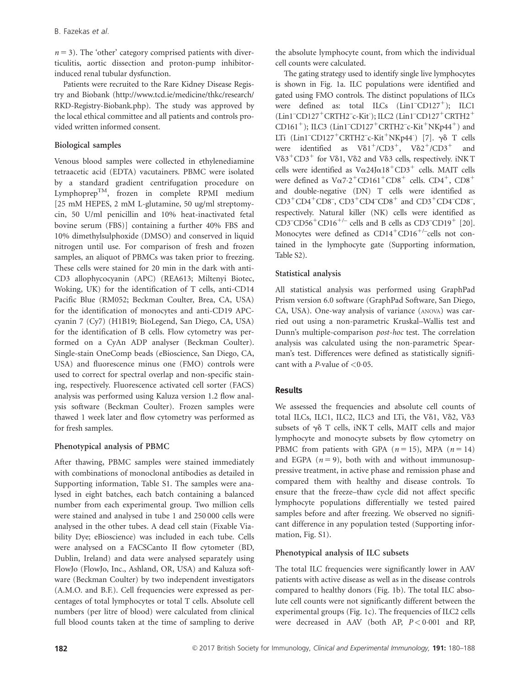$n = 3$ ). The 'other' category comprised patients with diverticulitis, aortic dissection and proton-pump inhibitorinduced renal tubular dysfunction.

Patients were recruited to the Rare Kidney Disease Registry and Biobank ([http://www.tcd.ie/medicine/thkc/research/](http://www.tcd.ie/medicine/thkc/research/RKD-Registry-Biobank.php) [RKD-Registry-Biobank.php](http://www.tcd.ie/medicine/thkc/research/RKD-Registry-Biobank.php)). The study was approved by the local ethical committee and all patients and controls provided written informed consent.

# Biological samples

Venous blood samples were collected in ethylenediamine tetraacetic acid (EDTA) vacutainers. PBMC were isolated by a standard gradient centrifugation procedure on LymphoprepTM, frozen in complete RPMI medium [25 mM HEPES, 2 mM L-glutamine, 50 ug/ml streptomycin, 50 U/ml penicillin and 10% heat-inactivated fetal bovine serum (FBS)] containing a further 40% FBS and 10% dimethylsulphoxide (DMSO) and conserved in liquid nitrogen until use. For comparison of fresh and frozen samples, an aliquot of PBMCs was taken prior to freezing. These cells were stained for 20 min in the dark with anti-CD3 allophycocyanin (APC) (REA613; Miltenyi Biotec, Woking, UK) for the identification of T cells, anti-CD14 Pacific Blue (RM052; Beckman Coulter, Brea, CA, USA) for the identification of monocytes and anti-CD19 APCcyanin 7 (Cy7) (H1B19; BioLegend, San Diego, CA, USA) for the identification of B cells. Flow cytometry was performed on a CyAn ADP analyser (Beckman Coulter). Single-stain OneComp beads (eBioscience, San Diego, CA, USA) and fluorescence minus one (FMO) controls were used to correct for spectral overlap and non-specific staining, respectively. Fluorescence activated cell sorter (FACS) analysis was performed using Kaluza version 1.2 flow analysis software (Beckman Coulter). Frozen samples were thawed 1 week later and flow cytometry was performed as for fresh samples.

## Phenotypical analysis of PBMC

After thawing, PBMC samples were stained immediately with combinations of monoclonal antibodies as detailed in Supporting information, Table S1. The samples were analysed in eight batches, each batch containing a balanced number from each experimental group. Two million cells were stained and analysed in tube 1 and 250 000 cells were analysed in the other tubes. A dead cell stain (Fixable Viability Dye; eBioscience) was included in each tube. Cells were analysed on a FACSCanto II flow cytometer (BD, Dublin, Ireland) and data were analysed separately using FlowJo (FlowJo, Inc., Ashland, OR, USA) and Kaluza software (Beckman Coulter) by two independent investigators (A.M.O. and B.F.). Cell frequencies were expressed as percentages of total lymphocytes or total T cells. Absolute cell numbers (per litre of blood) were calculated from clinical full blood counts taken at the time of sampling to derive

the absolute lymphocyte count, from which the individual cell counts were calculated.

The gating strategy used to identify single live lymphocytes is shown in Fig. 1a. ILC populations were identified and gated using FMO controls. The distinct populations of ILCs were defined as: total ILCs (Lin1<sup>-</sup>CD127<sup>+</sup>); ILC1 (Lin1<sup>-</sup>CD127<sup>+</sup>CRTH2<sup>-</sup>c-Kit<sup>-</sup>); ILC2 (Lin1<sup>-</sup>CD127<sup>+</sup>CRTH2<sup>+</sup> CD161<sup>+</sup>); ILC3 (Lin1<sup>-</sup>CD127<sup>+</sup>CRTH2<sup>-</sup>c-Kit<sup>+</sup>NKp44<sup>+</sup>) and LTi (Lin1<sup>-</sup>CD127<sup>+</sup>CRTH2<sup>-</sup>c-Kit<sup>+</sup>NKp44<sup>-</sup>) [7].  $\gamma\delta$  T cells were identified as  $V\delta1^+/CD3^+$ ,  $V\delta2^+/CD3^+$  and  $V\delta3^+CD3^+$  for V $\delta1$ , V $\delta2$  and V $\delta3$  cells, respectively. iNKT cells were identified as  $V\alpha$ 24J $\alpha$ 18<sup>+</sup>CD3<sup>+</sup> cells. MAIT cells were defined as  $V\alpha7.2^+CD161^+CD8^+$  cells.  $CD4^+$ ,  $CD8^+$ and double-negative (DN) T cells were identified as  $CD3^+CD4^+CD8^-$ ,  $CD3^+CD4^-CD8^+$  and  $CD3^+CD4^-CD8^-$ , respectively. Natural killer (NK) cells were identified as CD3<sup>-</sup>CD56<sup>+</sup>CD16<sup>+/-</sup> cells and B cells as CD3<sup>-</sup>CD19<sup>+</sup> [20]. Monocytes were defined as  $CD14^+CD16^{+/}$ cells not contained in the lymphocyte gate (Supporting information, Table S2).

## Statistical analysis

All statistical analysis was performed using GraphPad Prism version 6.0 software (GraphPad Software, San Diego, CA, USA). One-way analysis of variance (ANOVA) was carried out using a non-parametric Kruskal–Wallis test and Dunn's multiple-comparison post-hoc test. The correlation analysis was calculated using the non-parametric Spearman's test. Differences were defined as statistically significant with a *P*-value of  $\lt$  0.05.

# Results

We assessed the frequencies and absolute cell counts of total ILCs, ILC1, ILC2, ILC3 and LTi, the V $\delta$ 1, V $\delta$ 2, V $\delta$ 3 subsets of  $\gamma\delta$  T cells, iNK T cells, MAIT cells and major lymphocyte and monocyte subsets by flow cytometry on PBMC from patients with GPA ( $n = 15$ ), MPA ( $n = 14$ ) and EGPA  $(n = 9)$ , both with and without immunosuppressive treatment, in active phase and remission phase and compared them with healthy and disease controls. To ensure that the freeze–thaw cycle did not affect specific lymphocyte populations differentially we tested paired samples before and after freezing. We observed no significant difference in any population tested (Supporting information, Fig. S1).

## Phenotypical analysis of ILC subsets

The total ILC frequencies were significantly lower in AAV patients with active disease as well as in the disease controls compared to healthy donors (Fig. 1b). The total ILC absolute cell counts were not significantly different between the experimental groups (Fig. 1c). The frequencies of ILC2 cells were decreased in AAV (both AP,  $P < 0.001$  and RP,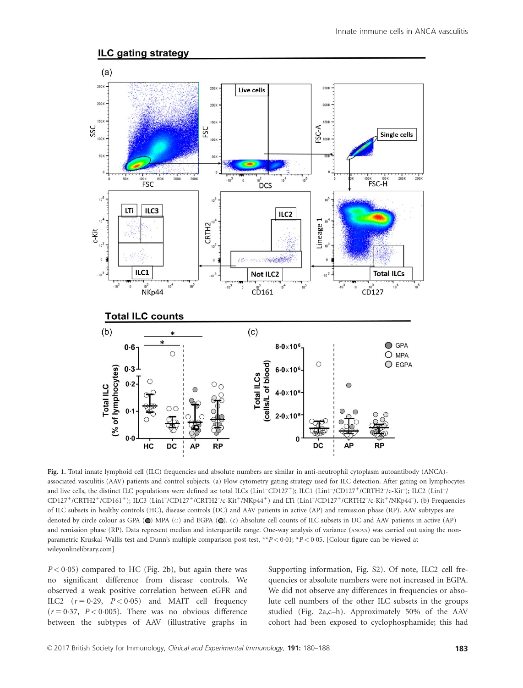



Fig. 1. Total innate lymphoid cell (ILC) frequencies and absolute numbers are similar in anti-neutrophil cytoplasm autoantibody (ANCA) associated vasculitis (AAV) patients and control subjects. (a) Flow cytometry gating strategy used for ILC detection. After gating on lymphocytes and live cells, the distinct ILC populations were defined as: total ILCs (Lin1<sup>-</sup>CD127<sup>+</sup>); ILC1 (Lin1<sup>-</sup>/CD127<sup>+</sup>/CRTH2<sup>-</sup>/c-Kit<sup>-</sup>); ILC2 (Lin1<sup>-</sup>/ CD127<sup>+</sup>/CRTH2<sup>+</sup>/CD161<sup>+</sup>); ILC3 (Lin1<sup>-</sup>/CD127<sup>+</sup>/CRTH2<sup>-</sup>/c-Kit<sup>+</sup>/NKp44<sup>+</sup>) and LTi (Lin1<sup>-</sup>/CD127<sup>+</sup>/CRTH2<sup>-</sup>/c-Kit<sup>+</sup>/NKp44<sup>-</sup>). (b) Frequencies of ILC subsets in healthy controls (HC), disease controls (DC) and AAV patients in active (AP) and remission phase (RP). AAV subtypes are denoted by circle colour as GPA ( $\odot$ ) MPA ( $\circ$ ) and EGPA ( $\odot$ ). (c) Absolute cell counts of ILC subsets in DC and AAV patients in active (AP) and remission phase (RP). Data represent median and interquartile range. One-way analysis of variance (ANOVA) was carried out using the nonparametric Kruskal–Wallis test and Dunn's multiple comparison post-test, \*\*P < 001; \*P < 005. [Colour figure can be viewed at [wileyonlinelibrary.com](http://wileyonlinelibrary.com)]

 $P < 0.05$ ) compared to HC (Fig. 2b), but again there was no significant difference from disease controls. We observed a weak positive correlation between eGFR and ILC2  $(r = 0.29, P < 0.05)$  and MAIT cell frequency  $(r = 0.37, P < 0.005)$ . There was no obvious difference between the subtypes of AAV (illustrative graphs in Supporting information, Fig. S2). Of note, ILC2 cell frequencies or absolute numbers were not increased in EGPA. We did not observe any differences in frequencies or absolute cell numbers of the other ILC subsets in the groups studied (Fig. 2a,c–h). Approximately 50% of the AAV cohort had been exposed to cyclophosphamide; this had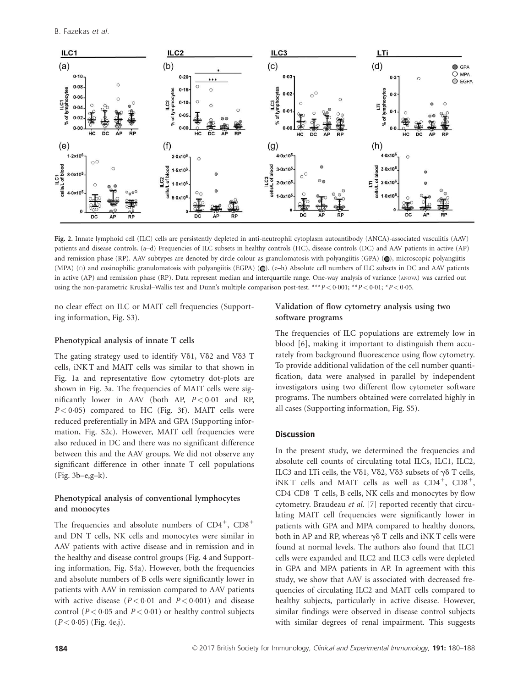

Fig. 2. Innate lymphoid cell (ILC) cells are persistently depleted in anti-neutrophil cytoplasm autoantibody (ANCA)-associated vasculitis (AAV) patients and disease controls. (a–d) Frequencies of ILC subsets in healthy controls (HC), disease controls (DC) and AAV patients in active (AP) and remission phase (RP). AAV subtypes are denoted by circle colour as granulomatosis with polyangiitis (GPA)  $\odot$ ), microscopic polyangiitis (MPA) (o) and eosinophilic granulomatosis with polyangiitis (EGPA) ( $\bigcirc$ ). (e–h) Absolute cell numbers of ILC subsets in DC and AAV patients in active (AP) and remission phase (RP). Data represent median and interquartile range. One-way analysis of variance (ANOVA) was carried out using the non-parametric Kruskal–Wallis test and Dunn's multiple comparison post-test. \*\*\* $P < 0.001$ ; \* $P < 0.01$ ; \* $P < 0.05$ .

no clear effect on ILC or MAIT cell frequencies (Supporting information, Fig. S3).

#### Phenotypical analysis of innate T cells

The gating strategy used to identify  $V\delta1$ ,  $V\delta2$  and  $V\delta3$  T cells, iNK T and MAIT cells was similar to that shown in Fig. 1a and representative flow cytometry dot-plots are shown in Fig. 3a. The frequencies of MAIT cells were significantly lower in AAV (both AP,  $P < 0.01$  and RP,  $P < 0.05$ ) compared to HC (Fig. 3f). MAIT cells were reduced preferentially in MPA and GPA (Supporting information, Fig. S2c). However, MAIT cell frequencies were also reduced in DC and there was no significant difference between this and the AAV groups. We did not observe any significant difference in other innate T cell populations (Fig. 3b–e,g–k).

# Phenotypical analysis of conventional lymphocytes and monocytes

The frequencies and absolute numbers of  $CD4^+$ ,  $CD8^+$ and DN T cells, NK cells and monocytes were similar in AAV patients with active disease and in remission and in the healthy and disease control groups (Fig. 4 and Supporting information, Fig. S4a). However, both the frequencies and absolute numbers of B cells were significantly lower in patients with AAV in remission compared to AAV patients with active disease  $(P < 0.01$  and  $P < 0.001$ ) and disease control ( $P < 0.05$  and  $P < 0.01$ ) or healthy control subjects  $(P < 0.05)$  (Fig. 4e,j).

## Validation of flow cytometry analysis using two software programs

The frequencies of ILC populations are extremely low in blood [6], making it important to distinguish them accurately from background fluorescence using flow cytometry. To provide additional validation of the cell number quantification, data were analysed in parallel by independent investigators using two different flow cytometer software programs. The numbers obtained were correlated highly in all cases (Supporting information, Fig. S5).

#### **Discussion**

In the present study, we determined the frequencies and absolute cell counts of circulating total ILCs, ILC1, ILC2, ILC3 and LTi cells, the V $\delta$ 1, V $\delta$ 2, V $\delta$ 3 subsets of  $\gamma \delta$  T cells, iNK T cells and MAIT cells as well as  $CD4^+$ ,  $CD8^+$ , CD4– CD8- T cells, B cells, NK cells and monocytes by flow cytometry. Braudeau et al. [7] reported recently that circulating MAIT cell frequencies were significantly lower in patients with GPA and MPA compared to healthy donors, both in AP and RP, whereas  $\gamma \delta$  T cells and iNK T cells were found at normal levels. The authors also found that ILC1 cells were expanded and ILC2 and ILC3 cells were depleted in GPA and MPA patients in AP. In agreement with this study, we show that AAV is associated with decreased frequencies of circulating ILC2 and MAIT cells compared to healthy subjects, particularly in active disease. However, similar findings were observed in disease control subjects with similar degrees of renal impairment. This suggests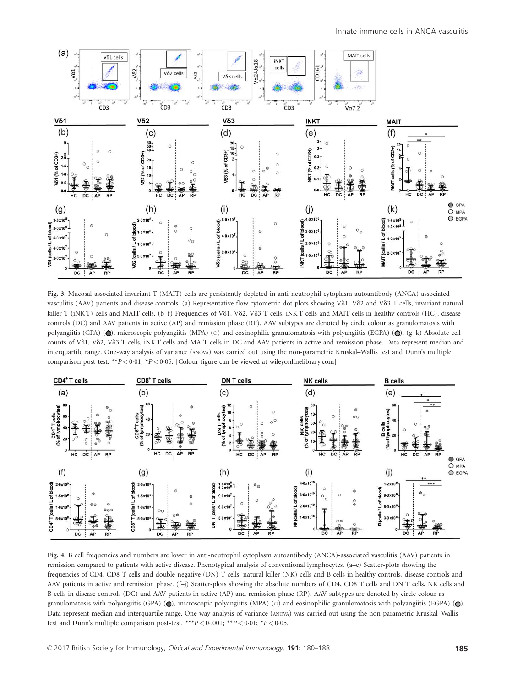

Fig. 3. Mucosal-associated invariant T (MAIT) cells are persistently depleted in anti-neutrophil cytoplasm autoantibody (ANCA)-associated vasculitis (AAV) patients and disease controls. (a) Representative flow cytometric dot plots showing V81, V82 and V83 T cells, invariant natural killer T (iNKT) cells and MAIT cells. (b-f) Frequencies of V81, V82, V83 T cells, iNKT cells and MAIT cells in healthy controls (HC), disease controls (DC) and AAV patients in active (AP) and remission phase (RP). AAV subtypes are denoted by circle colour as granulomatosis with polyangiitis (GPA) ( $\bullet$ ), microscopic polyangiitis (MPA) ( $\circ$ ) and eosinophilic granulomatosis with polyangiitis (EGPA) ( $\bullet$ ). (g–k) Absolute cell counts of V81, V82, V83 T cells, iNKT cells and MAIT cells in DC and AAV patients in active and remission phase. Data represent median and interquartile range. One-way analysis of variance (ANOVA) was carried out using the non-parametric Kruskal–Wallis test and Dunn's multiple comparison post-test. \*\* $P < 0.01$ ; \* $P < 0.05$ . [Colour figure can be viewed at [wileyonlinelibrary.com\]](http://wileyonlinelibrary.com)



Fig. 4. B cell frequencies and numbers are lower in anti-neutrophil cytoplasm autoantibody (ANCA)-associated vasculitis (AAV) patients in remission compared to patients with active disease. Phenotypical analysis of conventional lymphocytes. (a–e) Scatter-plots showing the frequencies of CD4, CD8 T cells and double-negative (DN) T cells, natural killer (NK) cells and B cells in healthy controls, disease controls and AAV patients in active and remission phase. (f–j) Scatter-plots showing the absolute numbers of CD4, CD8 T cells and DN T cells, NK cells and B cells in disease controls (DC) and AAV patients in active (AP) and remission phase (RP). AAV subtypes are denoted by circle colour as granulomatosis with polyangiitis (GPA) ( $\bigcirc$ ), microscopic polyangiitis (MPA) ( $\circ$ ) and eosinophilic granulomatosis with polyangiitis (EGPA) ( $\bigcirc$ ). Data represent median and interquartile range. One-way analysis of variance (ANOVA) was carried out using the non-parametric Kruskal–Wallis test and Dunn's multiple comparison post-test. \*\*\* $P < 0.001$ ; \*\* $P < 0.01$ ; \* $P < 0.05$ .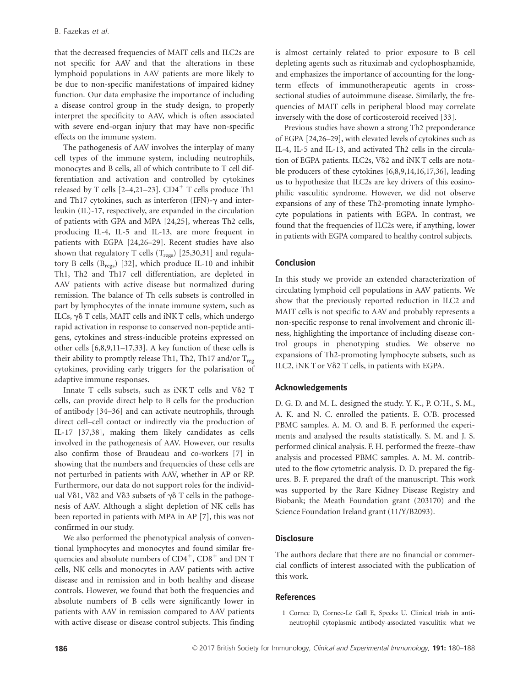that the decreased frequencies of MAIT cells and ILC2s are not specific for AAV and that the alterations in these lymphoid populations in AAV patients are more likely to be due to non-specific manifestations of impaired kidney function. Our data emphasize the importance of including a disease control group in the study design, to properly interpret the specificity to AAV, which is often associated with severe end-organ injury that may have non-specific effects on the immune system.

The pathogenesis of AAV involves the interplay of many cell types of the immune system, including neutrophils, monocytes and B cells, all of which contribute to T cell differentiation and activation and controlled by cytokines released by T cells  $[2-4,21-23]$ . CD4<sup>+</sup> T cells produce Th1 and Th17 cytokines, such as interferon (IFN)- $\gamma$  and interleukin (IL)-17, respectively, are expanded in the circulation of patients with GPA and MPA [24,25], whereas Th2 cells, producing IL-4, IL-5 and IL-13, are more frequent in patients with EGPA [24,26–29]. Recent studies have also shown that regulatory T cells ( $T_{\text{regs}}$ ) [25,30,31] and regulatory B cells (Bregs) [32], which produce IL-10 and inhibit Th1, Th2 and Th17 cell differentiation, are depleted in AAV patients with active disease but normalized during remission. The balance of Th cells subsets is controlled in part by lymphocytes of the innate immune system, such as ILCs,  $\gamma\delta$  T cells, MAIT cells and iNK T cells, which undergo rapid activation in response to conserved non-peptide antigens, cytokines and stress-inducible proteins expressed on other cells [6,8,9,11–17,33]. A key function of these cells is their ability to promptly release Th1, Th2, Th17 and/or  $T_{\text{res}}$ cytokines, providing early triggers for the polarisation of adaptive immune responses.

Innate T cells subsets, such as  $iNKT$  cells and V $\delta$ 2 T cells, can provide direct help to B cells for the production of antibody [34–36] and can activate neutrophils, through direct cell–cell contact or indirectly via the production of IL-17 [37,38], making them likely candidates as cells involved in the pathogenesis of AAV. However, our results also confirm those of Braudeau and co-workers [7] in showing that the numbers and frequencies of these cells are not perturbed in patients with AAV, whether in AP or RP. Furthermore, our data do not support roles for the individual V $\delta$ 1, V $\delta$ 2 and V $\delta$ 3 subsets of  $\gamma$  $\delta$  T cells in the pathogenesis of AAV. Although a slight depletion of NK cells has been reported in patients with MPA in AP [7], this was not confirmed in our study.

We also performed the phenotypical analysis of conventional lymphocytes and monocytes and found similar frequencies and absolute numbers of  $CD4^+$ ,  $CD8^+$  and DN T cells, NK cells and monocytes in AAV patients with active disease and in remission and in both healthy and disease controls. However, we found that both the frequencies and absolute numbers of B cells were significantly lower in patients with AAV in remission compared to AAV patients with active disease or disease control subjects. This finding is almost certainly related to prior exposure to B cell depleting agents such as rituximab and cyclophosphamide, and emphasizes the importance of accounting for the longterm effects of immunotherapeutic agents in crosssectional studies of autoimmune disease. Similarly, the frequencies of MAIT cells in peripheral blood may correlate inversely with the dose of corticosteroid received [33].

Previous studies have shown a strong Th2 preponderance of EGPA [24,26–29], with elevated levels of cytokines such as IL-4, IL-5 and IL-13, and activated Th2 cells in the circulation of EGPA patients. ILC2s, Vδ2 and iNKT cells are notable producers of these cytokines [6,8,9,14,16,17,36], leading us to hypothesize that ILC2s are key drivers of this eosinophilic vasculitic syndrome. However, we did not observe expansions of any of these Th2-promoting innate lymphocyte populations in patients with EGPA. In contrast, we found that the frequencies of ILC2s were, if anything, lower in patients with EGPA compared to healthy control subjects.

### Conclusion

In this study we provide an extended characterization of circulating lymphoid cell populations in AAV patients. We show that the previously reported reduction in ILC2 and MAIT cells is not specific to AAV and probably represents a non-specific response to renal involvement and chronic illness, highlighting the importance of including disease control groups in phenotyping studies. We observe no expansions of Th2-promoting lymphocyte subsets, such as ILC2, iNK T or Vδ2 T cells, in patients with EGPA.

## Acknowledgements

D. G. D. and M. L. designed the study. Y. K., P. O.'H., S. M., A. K. and N. C. enrolled the patients. E. O.'B. processed PBMC samples. A. M. O. and B. F. performed the experiments and analysed the results statistically. S. M. and J. S. performed clinical analysis. F. H. performed the freeze–thaw analysis and processed PBMC samples. A. M. M. contributed to the flow cytometric analysis. D. D. prepared the figures. B. F. prepared the draft of the manuscript. This work was supported by the Rare Kidney Disease Registry and Biobank; the Meath Foundation grant (203170) and the Science Foundation Ireland grant (11/Y/B2093).

### **Disclosure**

The authors declare that there are no financial or commercial conflicts of interest associated with the publication of this work.

## References

1 Cornec D, Cornec-Le Gall E, Specks U. Clinical trials in antineutrophil cytoplasmic antibody-associated vasculitis: what we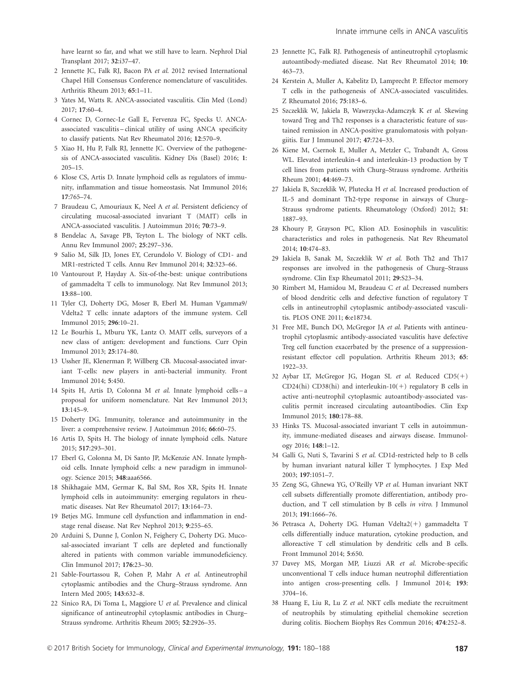have learnt so far, and what we still have to learn. Nephrol Dial Transplant 2017; 32:i37–47.

- 2 Jennette JC, Falk RJ, Bacon PA et al. 2012 revised International Chapel Hill Consensus Conference nomenclature of vasculitides. Arthritis Rheum 2013; 65:1–11.
- 3 Yates M, Watts R. ANCA-associated vasculitis. Clin Med (Lond) 2017; 17:60–4.
- 4 Cornec D, Cornec-Le Gall E, Fervenza FC, Specks U. ANCAassociated vasculitis – clinical utility of using ANCA specificity to classify patients. Nat Rev Rheumatol 2016; 12:570–9.
- 5 Xiao H, Hu P, Falk RJ, Jennette JC. Overview of the pathogenesis of ANCA-associated vasculitis. Kidney Dis (Basel) 2016; 1: 205–15.
- 6 Klose CS, Artis D. Innate lymphoid cells as regulators of immunity, inflammation and tissue homeostasis. Nat Immunol 2016; 17:765–74.
- 7 Braudeau C, Amouriaux K, Neel A et al. Persistent deficiency of circulating mucosal-associated invariant T (MAIT) cells in ANCA-associated vasculitis. J Autoimmun 2016; 70:73–9.
- 8 Bendelac A, Savage PB, Teyton L. The biology of NKT cells. Annu Rev Immunol 2007; 25:297–336.
- 9 Salio M, Silk JD, Jones EY, Cerundolo V. Biology of CD1- and MR1-restricted T cells. Annu Rev Immunol 2014; 32:323–66.
- 10 Vantourout P, Hayday A. Six-of-the-best: unique contributions of gammadelta T cells to immunology. Nat Rev Immunol 2013; 13:88–100.
- 11 Tyler CJ, Doherty DG, Moser B, Eberl M. Human Vgamma9/ Vdelta2 T cells: innate adaptors of the immune system. Cell Immunol 2015; 296:10–21.
- 12 Le Bourhis L, Mburu YK, Lantz O. MAIT cells, surveyors of a new class of antigen: development and functions. Curr Opin Immunol 2013; 25:174–80.
- 13 Ussher JE, Klenerman P, Willberg CB. Mucosal-associated invariant T-cells: new players in anti-bacterial immunity. Front Immunol 2014; 5:450.
- 14 Spits H, Artis D, Colonna M et al. Innate lymphoid cells a proposal for uniform nomenclature. Nat Rev Immunol 2013; 13:145–9.
- 15 Doherty DG. Immunity, tolerance and autoimmunity in the liver: a comprehensive review. J Autoimmun 2016; 66:60–75.
- 16 Artis D, Spits H. The biology of innate lymphoid cells. Nature 2015; 517:293–301.
- 17 Eberl G, Colonna M, Di Santo JP, McKenzie AN. Innate lymphoid cells. Innate lymphoid cells: a new paradigm in immunology. Science 2015; 348:aaa6566.
- 18 Shikhagaie MM, Germar K, Bal SM, Ros XR, Spits H. Innate lymphoid cells in autoimmunity: emerging regulators in rheumatic diseases. Nat Rev Rheumatol 2017; 13:164–73.
- 19 Betjes MG. Immune cell dysfunction and inflammation in endstage renal disease. Nat Rev Nephrol 2013; 9:255–65.
- 20 Arduini S, Dunne J, Conlon N, Feighery C, Doherty DG. Mucosal-associated invariant T cells are depleted and functionally altered in patients with common variable immunodeficiency. Clin Immunol 2017; 176:23–30.
- 21 Sable-Fourtassou R, Cohen P, Mahr A et al. Antineutrophil cytoplasmic antibodies and the Churg–Strauss syndrome. Ann Intern Med 2005; 143:632–8.
- 22 Sinico RA, Di Toma L, Maggiore U et al. Prevalence and clinical significance of antineutrophil cytoplasmic antibodies in Churg– Strauss syndrome. Arthritis Rheum 2005; 52:2926–35.
- 23 Jennette JC, Falk RJ. Pathogenesis of antineutrophil cytoplasmic autoantibody-mediated disease. Nat Rev Rheumatol 2014; 10: 463–73.
- 24 Kerstein A, Muller A, Kabelitz D, Lamprecht P. Effector memory T cells in the pathogenesis of ANCA-associated vasculitides. Z Rheumatol 2016; 75:183–6.
- 25 Szczeklik W, Jakiela B, Wawrzycka-Adamczyk K et al. Skewing toward Treg and Th2 responses is a characteristic feature of sustained remission in ANCA-positive granulomatosis with polyangiitis. Eur J Immunol 2017; 47:724–33.
- 26 Kiene M, Csernok E, Muller A, Metzler C, Trabandt A, Gross WL. Elevated interleukin-4 and interleukin-13 production by T cell lines from patients with Churg–Strauss syndrome. Arthritis Rheum 2001; 44:469–73.
- 27 Jakiela B, Szczeklik W, Plutecka H et al. Increased production of IL-5 and dominant Th2-type response in airways of Churg– Strauss syndrome patients. Rheumatology (Oxford) 2012; 51: 1887–93.
- 28 Khoury P, Grayson PC, Klion AD. Eosinophils in vasculitis: characteristics and roles in pathogenesis. Nat Rev Rheumatol 2014; 10:474–83.
- 29 Jakiela B, Sanak M, Szczeklik W et al. Both Th2 and Th17 responses are involved in the pathogenesis of Churg–Strauss syndrome. Clin Exp Rheumatol 2011; 29:S23–34.
- 30 Rimbert M, Hamidou M, Braudeau C et al. Decreased numbers of blood dendritic cells and defective function of regulatory T cells in antineutrophil cytoplasmic antibody-associated vasculitis. PLOS ONE 2011; 6:e18734.
- 31 Free ME, Bunch DO, McGregor JA et al. Patients with antineutrophil cytoplasmic antibody-associated vasculitis have defective Treg cell function exacerbated by the presence of a suppressionresistant effector cell population. Arthritis Rheum 2013; 65: 1922–33.
- 32 Aybar LT, McGregor JG, Hogan SL et al. Reduced CD5(+) CD24(hi) CD38(hi) and interleukin-10(+) regulatory B cells in active anti-neutrophil cytoplasmic autoantibody-associated vasculitis permit increased circulating autoantibodies. Clin Exp Immunol 2015; 180:178–88.
- 33 Hinks TS. Mucosal-associated invariant T cells in autoimmunity, immune-mediated diseases and airways disease. Immunology 2016; 148:1–12.
- 34 Galli G, Nuti S, Tavarini S et al. CD1d-restricted help to B cells by human invariant natural killer T lymphocytes. J Exp Med 2003; 197:1051–7.
- 35 Zeng SG, Ghnewa YG, O'Reilly VP et al. Human invariant NKT cell subsets differentially promote differentiation, antibody production, and T cell stimulation by B cells in vitro. J Immunol 2013; 191:1666–76.
- 36 Petrasca A, Doherty DG. Human Vdelta2(+) gammadelta T cells differentially induce maturation, cytokine production, and alloreactive T cell stimulation by dendritic cells and B cells. Front Immunol 2014; 5:650.
- 37 Davey MS, Morgan MP, Liuzzi AR et al. Microbe-specific unconventional T cells induce human neutrophil differentiation into antigen cross-presenting cells. J Immunol 2014; 193: 3704–16.
- 38 Huang E, Liu R, Lu Z et al. NKT cells mediate the recruitment of neutrophils by stimulating epithelial chemokine secretion during colitis. Biochem Biophys Res Commun 2016; 474:252–8.